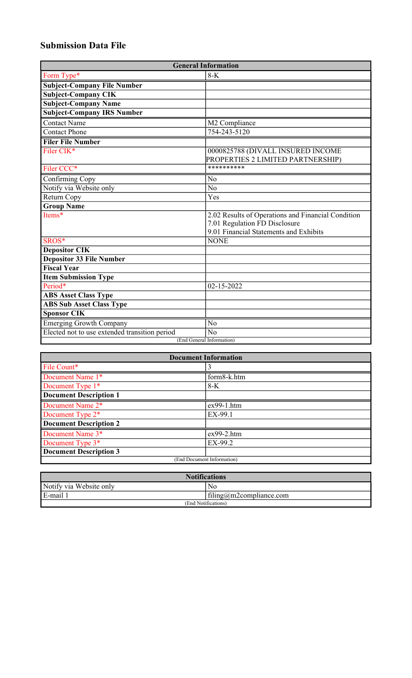# **Submission Data File**

| <b>General Information</b>                    |                                                    |  |
|-----------------------------------------------|----------------------------------------------------|--|
| Form Type*                                    | $8-K$                                              |  |
| <b>Subject-Company File Number</b>            |                                                    |  |
| <b>Subject-Company CIK</b>                    |                                                    |  |
| <b>Subject-Company Name</b>                   |                                                    |  |
| <b>Subject-Company IRS Number</b>             |                                                    |  |
| <b>Contact Name</b>                           | M2 Compliance                                      |  |
| <b>Contact Phone</b>                          | 754-243-5120                                       |  |
| <b>Filer File Number</b>                      |                                                    |  |
| Filer CIK*                                    | 0000825788 (DIVALL INSURED INCOME                  |  |
|                                               | PROPERTIES 2 LIMITED PARTNERSHIP)                  |  |
| Filer CCC*                                    | **********                                         |  |
| Confirming Copy                               | N <sub>o</sub>                                     |  |
| Notify via Website only                       | $\overline{No}$                                    |  |
| Return Copy                                   | Yes                                                |  |
| <b>Group Name</b>                             |                                                    |  |
| Items*                                        | 2.02 Results of Operations and Financial Condition |  |
|                                               | 7.01 Regulation FD Disclosure                      |  |
|                                               | 9.01 Financial Statements and Exhibits             |  |
| SROS*                                         | <b>NONE</b>                                        |  |
| <b>Depositor CIK</b>                          |                                                    |  |
| <b>Depositor 33 File Number</b>               |                                                    |  |
| <b>Fiscal Year</b>                            |                                                    |  |
| <b>Item Submission Type</b>                   |                                                    |  |
| Period*                                       | 02-15-2022                                         |  |
| <b>ABS Asset Class Type</b>                   |                                                    |  |
| <b>ABS Sub Asset Class Type</b>               |                                                    |  |
| <b>Sponsor CIK</b>                            |                                                    |  |
| Emerging Growth Company                       | N <sub>o</sub>                                     |  |
| Elected not to use extended transition period | N <sub>o</sub>                                     |  |
| (End General Information)                     |                                                    |  |

| <b>Document Information</b>   |              |  |
|-------------------------------|--------------|--|
| File Count*                   | 3            |  |
| Document Name 1*              | form8-k.htm  |  |
| Document Type 1*              | $8-K$        |  |
| <b>Document Description 1</b> |              |  |
| Document Name 2*              | ex99-1.htm   |  |
| Document Type 2 <sup>*</sup>  | EX-99.1      |  |
| <b>Document Description 2</b> |              |  |
| Document Name 3*              | $ex99-2.htm$ |  |
| Document Type $3*$            | $EX-99.2$    |  |
| <b>Document Description 3</b> |              |  |
| (End Document Information)    |              |  |

| <b>Notifications</b>    |                                  |  |
|-------------------------|----------------------------------|--|
| Notify via Website only | N <sub>0</sub>                   |  |
| E-mail                  | $\text{filing@m2compliance.com}$ |  |
| (End Notifications)     |                                  |  |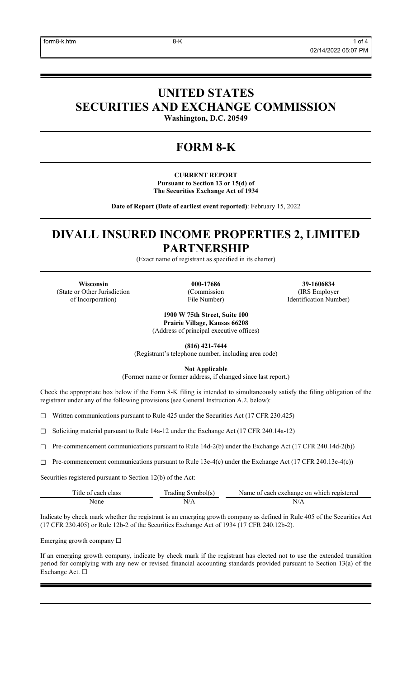# **UNITED STATES SECURITIES AND EXCHANGE COMMISSION**

**Washington, D.C. 20549**

# **FORM 8-K**

**CURRENT REPORT Pursuant to Section 13 or 15(d) of The Securities Exchange Act of 1934**

**Date of Report (Date of earliest event reported)**: February 15, 2022

# **DIVALL INSURED INCOME PROPERTIES 2, LIMITED PARTNERSHIP**

(Exact name of registrant as specified in its charter)

(State or Other Jurisdiction of Incorporation)

(Commission File Number)

**Wisconsin 000-17686 39-1606834** (IRS Employer Identification Number)

> **1900 W 75th Street, Suite 100 Prairie Village, Kansas 66208** (Address of principal executive offices)

> > **(816) 421-7444**

(Registrant's telephone number, including area code)

**Not Applicable**

(Former name or former address, if changed since last report.)

Check the appropriate box below if the Form 8-K filing is intended to simultaneously satisfy the filing obligation of the registrant under any of the following provisions (see General Instruction A.2. below):

☐ Written communications pursuant to Rule 425 under the Securities Act (17 CFR 230.425)

☐ Soliciting material pursuant to Rule 14a-12 under the Exchange Act (17 CFR 240.14a-12)

 $\Box$  Pre-commencement communications pursuant to Rule 14d-2(b) under the Exchange Act (17 CFR 240.14d-2(b))

☐ Pre-commencement communications pursuant to Rule 13e-4(c) under the Exchange Act (17 CFR 240.13e-4(c))

Securities registered pursuant to Section 12(b) of the Act:

| itle of<br>each class | $\mathbf{r}$<br>l radıng<br>symbol(s | r each exchange on which registered<br>Name of |
|-----------------------|--------------------------------------|------------------------------------------------|
| None                  |                                      | ↘<br>17 L L                                    |

Indicate by check mark whether the registrant is an emerging growth company as defined in Rule 405 of the Securities Act (17 CFR 230.405) or Rule 12b-2 of the Securities Exchange Act of 1934 (17 CFR 240.12b-2).

Emerging growth company ☐

If an emerging growth company, indicate by check mark if the registrant has elected not to use the extended transition period for complying with any new or revised financial accounting standards provided pursuant to Section 13(a) of the Exchange Act. ☐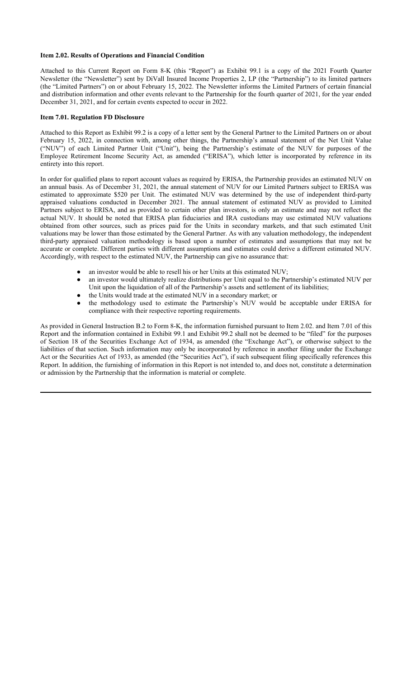### **Item 2.02. Results of Operations and Financial Condition**

Attached to this Current Report on Form 8-K (this "Report") as Exhibit 99.1 is a copy of the 2021 Fourth Quarter Newsletter (the "Newsletter") sent by DiVall Insured Income Properties 2, LP (the "Partnership") to its limited partners (the "Limited Partners") on or about February 15, 2022. The Newsletter informs the Limited Partners of certain financial and distribution information and other events relevant to the Partnership for the fourth quarter of 2021, for the year ended December 31, 2021, and for certain events expected to occur in 2022.

### **Item 7.01. Regulation FD Disclosure**

Attached to this Report as Exhibit 99.2 is a copy of a letter sent by the General Partner to the Limited Partners on or about February 15, 2022, in connection with, among other things, the Partnership's annual statement of the Net Unit Value ("NUV") of each Limited Partner Unit ("Unit"), being the Partnership's estimate of the NUV for purposes of the Employee Retirement Income Security Act, as amended ("ERISA"), which letter is incorporated by reference in its entirety into this report.

In order for qualified plans to report account values as required by ERISA, the Partnership provides an estimated NUV on an annual basis. As of December 31, 2021, the annual statement of NUV for our Limited Partners subject to ERISA was estimated to approximate \$520 per Unit. The estimated NUV was determined by the use of independent third-party appraised valuations conducted in December 2021. The annual statement of estimated NUV as provided to Limited Partners subject to ERISA, and as provided to certain other plan investors, is only an estimate and may not reflect the actual NUV. It should be noted that ERISA plan fiduciaries and IRA custodians may use estimated NUV valuations obtained from other sources, such as prices paid for the Units in secondary markets, and that such estimated Unit valuations may be lower than those estimated by the General Partner. As with any valuation methodology, the independent third-party appraised valuation methodology is based upon a number of estimates and assumptions that may not be accurate or complete. Different parties with different assumptions and estimates could derive a different estimated NUV. Accordingly, with respect to the estimated NUV, the Partnership can give no assurance that:

- an investor would be able to resell his or her Units at this estimated NUV;
- an investor would ultimately realize distributions per Unit equal to the Partnership's estimated NUV per Unit upon the liquidation of all of the Partnership's assets and settlement of its liabilities;
- the Units would trade at the estimated NUV in a secondary market; or
- the methodology used to estimate the Partnership's NUV would be acceptable under ERISA for compliance with their respective reporting requirements.

As provided in General Instruction B.2 to Form 8-K, the information furnished pursuant to Item 2.02. and Item 7.01 of this Report and the information contained in Exhibit 99.1 and Exhibit 99.2 shall not be deemed to be "filed" for the purposes of Section 18 of the Securities Exchange Act of 1934, as amended (the "Exchange Act"), or otherwise subject to the liabilities of that section. Such information may only be incorporated by reference in another filing under the Exchange Act or the Securities Act of 1933, as amended (the "Securities Act"), if such subsequent filing specifically references this Report. In addition, the furnishing of information in this Report is not intended to, and does not, constitute a determination or admission by the Partnership that the information is material or complete.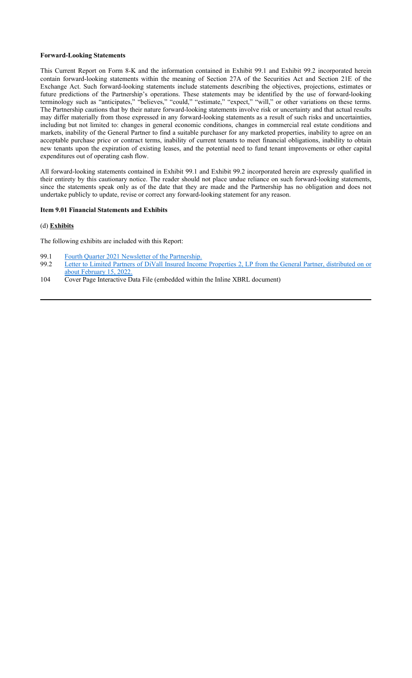#### **Forward-Looking Statements**

This Current Report on Form 8-K and the information contained in Exhibit 99.1 and Exhibit 99.2 incorporated herein contain forward-looking statements within the meaning of Section 27A of the Securities Act and Section 21E of the Exchange Act. Such forward-looking statements include statements describing the objectives, projections, estimates or future predictions of the Partnership's operations. These statements may be identified by the use of forward-looking terminology such as "anticipates," "believes," "could," "estimate," "expect," "will," or other variations on these terms. The Partnership cautions that by their nature forward-looking statements involve risk or uncertainty and that actual results may differ materially from those expressed in any forward-looking statements as a result of such risks and uncertainties, including but not limited to: changes in general economic conditions, changes in commercial real estate conditions and markets, inability of the General Partner to find a suitable purchaser for any marketed properties, inability to agree on an acceptable purchase price or contract terms, inability of current tenants to meet financial obligations, inability to obtain new tenants upon the expiration of existing leases, and the potential need to fund tenant improvements or other capital expenditures out of operating cash flow.

All forward-looking statements contained in Exhibit 99.1 and Exhibit 99.2 incorporated herein are expressly qualified in their entirety by this cautionary notice. The reader should not place undue reliance on such forward-looking statements, since the statements speak only as of the date that they are made and the Partnership has no obligation and does not undertake publicly to update, revise or correct any forward-looking statement for any reason.

## **Item 9.01 Financial Statements and Exhibits**

## (d) **Exhibits**

The following exhibits are included with this Report:

- 99.1 Fourth Quarter 2021 Newsletter of the Partnership.
- 99.2 Letter to Limited Partners of DiVall Insured Income Properties 2, LP from the General Partner, distributed on or about February 15, 2022.
- 104 Cover Page Interactive Data File (embedded within the Inline XBRL document)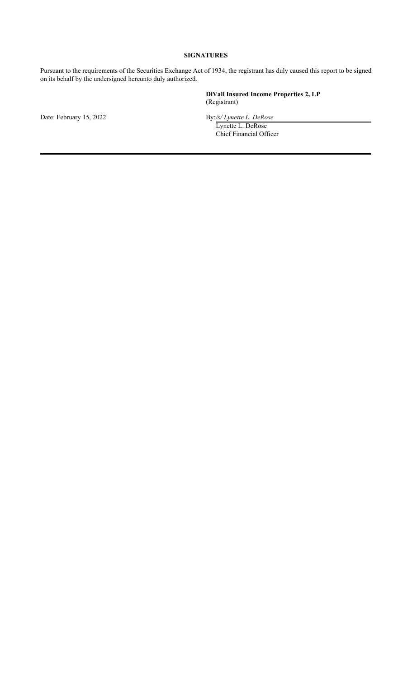# **SIGNATURES**

Pursuant to the requirements of the Securities Exchange Act of 1934, the registrant has duly caused this report to be signed on its behalf by the undersigned hereunto duly authorized.

> **DiVall Insured Income Properties 2, LP** (Registrant)

Date: February 15, 2022 **By:/s/ Lynette L. DeRose** 

Lynette L. DeRose Chief Financial Officer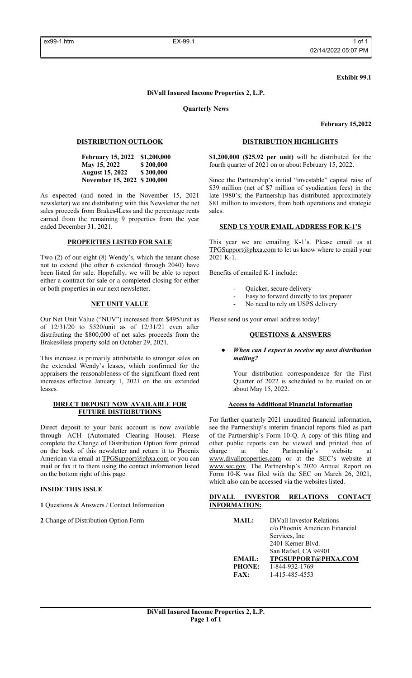#### **Exhibit 99.1**

#### **DiVall Insured Income Properties 2, L.P.**

**Quarterly News**

**February 15,2022**

## **DISTRIBUTION OUTLOOK**

**February 15, 2022 \$1,200,000 May 15, 2022 \$ 200,000<br>August 15, 2022 \$ 200,000 August 15, 2022 November 15, 2022 \$ 200,000**

As expected (and noted in the November 15, 2021 newsletter) we are distributing with this Newsletter the net sales proceeds from Brakes4Less and the percentage rents earned from the remaining 9 properties from the year ended December 31, 2021.

### **PROPERTIES LISTED FOR SALE**

Two (2) of our eight (8) Wendy's, which the tenant chose not to extend (the other 6 extended through 2040) have been listed for sale. Hopefully, we will be able to report either a contract for sale or a completed closing for either or both properties in our next newsletter.

#### **NET UNIT VALUE**

Our Net Unit Value ("NUV") increased from \$495/unit as of 12/31/20 to \$520/unit as of 12/31/21 even after distributing the \$800,000 of net sales proceeds from the Brakes4less property sold on October 29, 2021.

This increase is primarily attributable to stronger sales on the extended Wendy's leases, which confirmed for the appraisers the reasonableness of the significant fixed rent increases effective January 1, 2021 on the six extended leases.

#### **DIRECT DEPOSIT NOW AVAILABLE FOR FUTURE DISTRIBUTIONS**

Direct deposit to your bank account is now available through ACH (Automated Clearing House). Please complete the Change of Distribution Option form printed on the back of this newsletter and return it to Phoenix American via email at TPGSupport@phxa.com or you can mail or fax it to them using the contact information listed on the bottom right of this page.

#### **INSIDE THIS ISSUE**

**1** Questions & Answers / Contact Information

**2** Change of Distribution Option Form

## **DISTRIBUTION HIGHLIGHTS**

**\$1,200,000 (\$25.92 per unit)** will be distributed for the fourth quarter of 2021 on or about February 15, 2022.

Since the Partnership's initial "investable" capital raise of \$39 million (net of \$7 million of syndication fees) in the late 1980's; the Partnership has distributed approximately \$81 million to investors, from both operations and strategic sales.

## **SEND US YOUR EMAIL ADDRESS FOR K-1'S**

This year we are emailing K-1's. Please email us at TPGSupport@phxa.com to let us know where to email your 2021 K-1.

Benefits of emailed K-1 include:

- Quicker, secure delivery
- Easy to forward directly to tax preparer
- No need to rely on USPS delivery

Please send us your email address today!

## **QUESTIONS & ANSWERS**

**When can I expect to receive my next distribution** *mailing?*

Your distribution correspondence for the First Quarter of 2022 is scheduled to be mailed on or about May 15, 2022.

### **Access to Additional Financial Information**

For further quarterly 2021 unaudited financial information, see the Partnership's interim financial reports filed as part of the Partnership's Form 10-Q. A copy of this filing and other public reports can be viewed and printed free of charge at the Partnership's website at www.divallproperties.com or at the SEC's website at www.sec.gov. The Partnership's 2020 Annual Report on Form 10-K was filed with the SEC on March 26, 2021, which also can be accessed via the websites listed.

### **DIVALL INVESTOR RELATIONS CONTACT INFORMATION:**

**MAIL:** DiVall Investor Relations c/o Phoenix American Financial Services, Inc 2401 Kerner Blvd. San Rafael, CA 94901 **EMAIL: TPGSUPPORT@PHXA.COM PHONE:** 1-844-932-1769 **FAX:** 1-415-485-4553